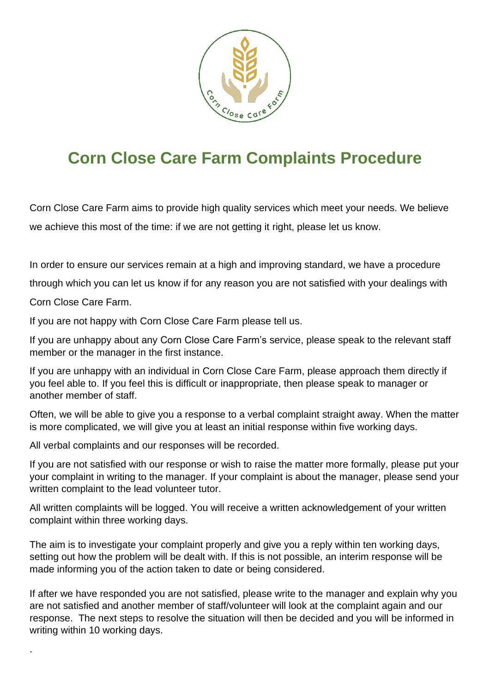

## **Corn Close Care Farm Complaints Procedure**

Corn Close Care Farm aims to provide high quality services which meet your needs. We believe we achieve this most of the time: if we are not getting it right, please let us know.

In order to ensure our services remain at a high and improving standard, we have a procedure

through which you can let us know if for any reason you are not satisfied with your dealings with

Corn Close Care Farm.

.

If you are not happy with Corn Close Care Farm please tell us.

If you are unhappy about any Corn Close Care Farm's service, please speak to the relevant staff member or the manager in the first instance.

If you are unhappy with an individual in Corn Close Care Farm, please approach them directly if you feel able to. If you feel this is difficult or inappropriate, then please speak to manager or another member of staff.

Often, we will be able to give you a response to a verbal complaint straight away. When the matter is more complicated, we will give you at least an initial response within five working days.

All verbal complaints and our responses will be recorded.

If you are not satisfied with our response or wish to raise the matter more formally, please put your your complaint in writing to the manager. If your complaint is about the manager, please send your written complaint to the lead volunteer tutor.

All written complaints will be logged. You will receive a written acknowledgement of your written complaint within three working days.

The aim is to investigate your complaint properly and give you a reply within ten working days, setting out how the problem will be dealt with. If this is not possible, an interim response will be made informing you of the action taken to date or being considered.

If after we have responded you are not satisfied, please write to the manager and explain why you are not satisfied and another member of staff/volunteer will look at the complaint again and our response. The next steps to resolve the situation will then be decided and you will be informed in writing within 10 working days.